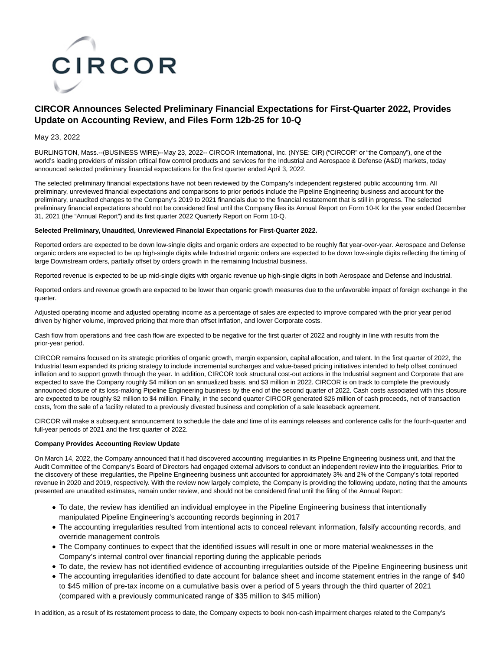

# **CIRCOR Announces Selected Preliminary Financial Expectations for First-Quarter 2022, Provides Update on Accounting Review, and Files Form 12b-25 for 10-Q**

## May 23, 2022

BURLINGTON, Mass.--(BUSINESS WIRE)--May 23, 2022-- CIRCOR International, Inc. (NYSE: CIR) ("CIRCOR" or "the Company"), one of the world's leading providers of mission critical flow control products and services for the Industrial and Aerospace & Defense (A&D) markets, today announced selected preliminary financial expectations for the first quarter ended April 3, 2022.

The selected preliminary financial expectations have not been reviewed by the Company's independent registered public accounting firm. All preliminary, unreviewed financial expectations and comparisons to prior periods include the Pipeline Engineering business and account for the preliminary, unaudited changes to the Company's 2019 to 2021 financials due to the financial restatement that is still in progress. The selected preliminary financial expectations should not be considered final until the Company files its Annual Report on Form 10-K for the year ended December 31, 2021 (the "Annual Report") and its first quarter 2022 Quarterly Report on Form 10-Q.

## **Selected Preliminary, Unaudited, Unreviewed Financial Expectations for First-Quarter 2022.**

Reported orders are expected to be down low-single digits and organic orders are expected to be roughly flat year-over-year. Aerospace and Defense organic orders are expected to be up high-single digits while Industrial organic orders are expected to be down low-single digits reflecting the timing of large Downstream orders, partially offset by orders growth in the remaining Industrial business.

Reported revenue is expected to be up mid-single digits with organic revenue up high-single digits in both Aerospace and Defense and Industrial.

Reported orders and revenue growth are expected to be lower than organic growth measures due to the unfavorable impact of foreign exchange in the quarter.

Adjusted operating income and adjusted operating income as a percentage of sales are expected to improve compared with the prior year period driven by higher volume, improved pricing that more than offset inflation, and lower Corporate costs.

Cash flow from operations and free cash flow are expected to be negative for the first quarter of 2022 and roughly in line with results from the prior-year period.

CIRCOR remains focused on its strategic priorities of organic growth, margin expansion, capital allocation, and talent. In the first quarter of 2022, the Industrial team expanded its pricing strategy to include incremental surcharges and value-based pricing initiatives intended to help offset continued inflation and to support growth through the year. In addition, CIRCOR took structural cost-out actions in the Industrial segment and Corporate that are expected to save the Company roughly \$4 million on an annualized basis, and \$3 million in 2022. CIRCOR is on track to complete the previously announced closure of its loss-making Pipeline Engineering business by the end of the second quarter of 2022. Cash costs associated with this closure are expected to be roughly \$2 million to \$4 million. Finally, in the second quarter CIRCOR generated \$26 million of cash proceeds, net of transaction costs, from the sale of a facility related to a previously divested business and completion of a sale leaseback agreement.

CIRCOR will make a subsequent announcement to schedule the date and time of its earnings releases and conference calls for the fourth-quarter and full-year periods of 2021 and the first quarter of 2022.

## **Company Provides Accounting Review Update**

On March 14, 2022, the Company announced that it had discovered accounting irregularities in its Pipeline Engineering business unit, and that the Audit Committee of the Company's Board of Directors had engaged external advisors to conduct an independent review into the irregularities. Prior to the discovery of these irregularities, the Pipeline Engineering business unit accounted for approximately 3% and 2% of the Company's total reported revenue in 2020 and 2019, respectively. With the review now largely complete, the Company is providing the following update, noting that the amounts presented are unaudited estimates, remain under review, and should not be considered final until the filing of the Annual Report:

- To date, the review has identified an individual employee in the Pipeline Engineering business that intentionally manipulated Pipeline Engineering's accounting records beginning in 2017
- The accounting irregularities resulted from intentional acts to conceal relevant information, falsify accounting records, and override management controls
- The Company continues to expect that the identified issues will result in one or more material weaknesses in the Company's internal control over financial reporting during the applicable periods
- To date, the review has not identified evidence of accounting irregularities outside of the Pipeline Engineering business unit
- The accounting irregularities identified to date account for balance sheet and income statement entries in the range of \$40 to \$45 million of pre-tax income on a cumulative basis over a period of 5 years through the third quarter of 2021 (compared with a previously communicated range of \$35 million to \$45 million)

In addition, as a result of its restatement process to date, the Company expects to book non-cash impairment charges related to the Company's